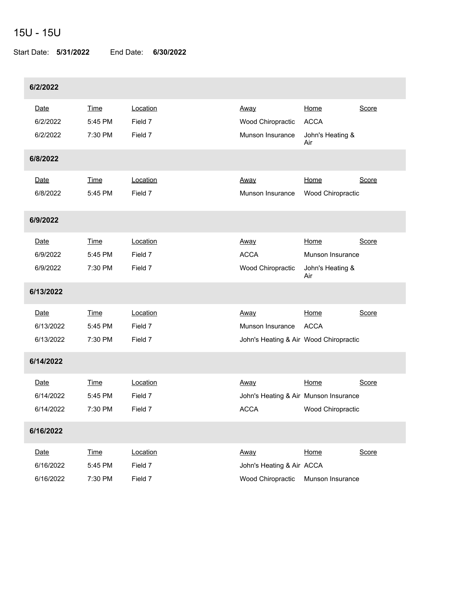## 15U - 15U

Start Date: **5/31/2022** End Date: **6/30/2022**

| 6/2/2022                       |                                   |                                |                                                                    |                                                     |       |
|--------------------------------|-----------------------------------|--------------------------------|--------------------------------------------------------------------|-----------------------------------------------------|-------|
| Date<br>6/2/2022<br>6/2/2022   | <b>Time</b><br>5:45 PM<br>7:30 PM | Location<br>Field 7<br>Field 7 | Away<br>Wood Chiropractic<br>Munson Insurance                      | Home<br><b>ACCA</b><br>John's Heating &<br>Air      | Score |
| 6/8/2022                       |                                   |                                |                                                                    |                                                     |       |
| Date<br>6/8/2022               | <b>Time</b><br>5:45 PM            | Location<br>Field 7            | Away<br>Munson Insurance                                           | Home<br>Wood Chiropractic                           | Score |
| 6/9/2022                       |                                   |                                |                                                                    |                                                     |       |
| Date<br>6/9/2022<br>6/9/2022   | <b>Time</b><br>5:45 PM<br>7:30 PM | Location<br>Field 7<br>Field 7 | Away<br><b>ACCA</b><br>Wood Chiropractic                           | Home<br>Munson Insurance<br>John's Heating &<br>Air | Score |
| 6/13/2022                      |                                   |                                |                                                                    |                                                     |       |
| Date<br>6/13/2022<br>6/13/2022 | <b>Time</b><br>5:45 PM<br>7:30 PM | Location<br>Field 7<br>Field 7 | Away<br>Munson Insurance<br>John's Heating & Air Wood Chiropractic | Home<br><b>ACCA</b>                                 | Score |
| 6/14/2022                      |                                   |                                |                                                                    |                                                     |       |
| Date<br>6/14/2022<br>6/14/2022 | <b>Time</b><br>5:45 PM<br>7:30 PM | Location<br>Field 7<br>Field 7 | Away<br>John's Heating & Air Munson Insurance<br><b>ACCA</b>       | Home<br>Wood Chiropractic                           | Score |
| 6/16/2022                      |                                   |                                |                                                                    |                                                     |       |
| Date<br>6/16/2022<br>6/16/2022 | <b>Time</b><br>5:45 PM<br>7:30 PM | Location<br>Field 7<br>Field 7 | Away<br>John's Heating & Air ACCA<br>Wood Chiropractic             | Home<br>Munson Insurance                            | Score |